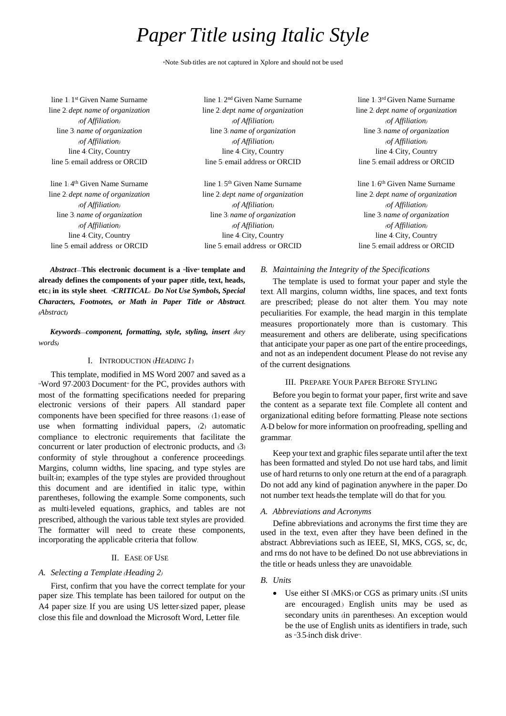# *Paper Title using Italic Style*

\*Note: Sub-titles are not captured in Xplore and should not be used

line 1: 1<sup>st</sup> Given Name Surname line 2: *dept. name of organization (of Affiliation)* line 3: *name of organization (of Affiliation)* line 4: City, Country line 5: email address or ORCID

line 1:4<sup>th</sup> Given Name Surname line 2: *dept. name of organization (of Affiliation)* line 3: *name of organization (of Affiliation)* line 4: City, Country line 5: email address or ORCID

line 1: 2 nd Given Name Surname line 2: *dept. name of organization (of Affiliation)* line 3: *name of organization (of Affiliation)* line 4: City, Country line 5: email address or ORCID

line 1: 5<sup>th</sup> Given Name Surname line 2: *dept. name of organization (of Affiliation)* line 3: *name of organization (of Affiliation)* line 4: City, Country line 5: email address or ORCID

*Abstract***—This electronic document is a "live" template and already defines the components of your paper [title, text, heads, etc.] in its style sheet.** *\*CRITICAL: Do Not Use Symbols, Special Characters, Footnotes, or Math in Paper Title or Abstract***.**  *(Abstract)*

*Keywords—component, formatting, style, styling, insert (key words)*

# I. INTRODUCTION (*HEADING 1*)

This template, modified in MS Word 2007 and saved as a "Word 97-2003 Document" for the PC, provides authors with most of the formatting specifications needed for preparing electronic versions of their papers. All standard paper components have been specified for three reasons: (1) ease of use when formatting individual papers, (2) automatic compliance to electronic requirements that facilitate the concurrent or later production of electronic products, and (3) conformity of style throughout a conference proceedings. Margins, column widths, line spacing, and type styles are built-in; examples of the type styles are provided throughout this document and are identified in italic type, within parentheses, following the example. Some components, such as multi-leveled equations, graphics, and tables are not prescribed, although the various table text styles are provided. The formatter will need to create these components, incorporating the applicable criteria that follow.

# II. EASE OF USE

# *A. Selecting a Template (Heading 2)*

First, confirm that you have the correct template for your paper size. This template has been tailored for output on the A4 paper size. If you are using US letter-sized paper, please close this file and download the Microsoft Word, Letter file.

line 1: 3 rd Given Name Surname line 2: *dept. name of organization (of Affiliation)* line 3: *name of organization (of Affiliation)* line 4: City, Country line 5: email address or ORCID

line 1: 6<sup>th</sup> Given Name Surname line 2: *dept. name of organization (of Affiliation)* line 3: *name of organization (of Affiliation)* line 4: City, Country line 5: email address or ORCID

# *B. Maintaining the Integrity of the Specifications*

The template is used to format your paper and style the text. All margins, column widths, line spaces, and text fonts are prescribed; please do not alter them. You may note peculiarities. For example, the head margin in this template measures proportionately more than is customary. This measurement and others are deliberate, using specifications that anticipate your paper as one part of the entire proceedings, and not as an independent document. Please do not revise any of the current designations.

#### III. PREPARE YOUR PAPER BEFORE STYLING

Before you begin to format your paper, first write and save the content as a separate text file. Complete all content and organizational editing before formatting. Please note sections A-D below for more information on proofreading, spelling and grammar.

Keep your text and graphic files separate until after the text has been formatted and styled. Do not use hard tabs, and limit use of hard returns to only one return at the end of a paragraph. Do not add any kind of pagination anywhere in the paper. Do not number text heads-the template will do that for you.

# *A. Abbreviations and Acronyms*

Define abbreviations and acronyms the first time they are used in the text, even after they have been defined in the abstract. Abbreviations such as IEEE, SI, MKS, CGS, sc, dc, and rms do not have to be defined. Do not use abbreviations in the title or heads unless they are unavoidable.

# *B. Units*

 Use either SI (MKS) or CGS as primary units. (SI units are encouraged.) English units may be used as secondary units (in parentheses). An exception would be the use of English units as identifiers in trade, such as "3.5-inch disk drive".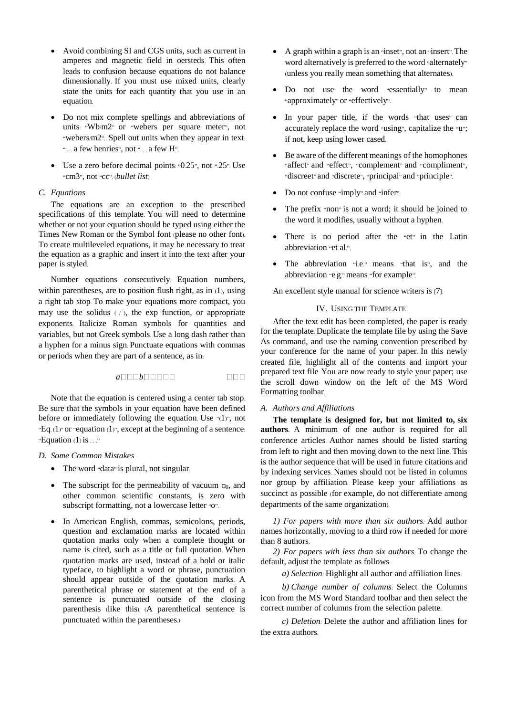- Avoid combining SI and CGS units, such as current in amperes and magnetic field in oersteds. This often leads to confusion because equations do not balance dimensionally. If you must use mixed units, clearly state the units for each quantity that you use in an equation.
- Do not mix complete spellings and abbreviations of units: "Wb/m2" or "webers per square meter", not "webers/m2". Spell out units when they appear in text: "... a few henries", not "... a few H".
- $\bullet$  Use a zero before decimal points: "0.25", not ".25". Use "cm3", not "cc". (*bullet list*)

## *C. Equations*

The equations are an exception to the prescribed specifications of this template. You will need to determine whether or not your equation should be typed using either the Times New Roman or the Symbol font (please no other font). To create multileveled equations, it may be necessary to treat the equation as a graphic and insert it into the text after your paper is styled.

Number equations consecutively. Equation numbers, within parentheses, are to position flush right, as in (1), using a right tab stop. To make your equations more compact, you may use the solidus  $(1)$ , the exp function, or appropriate exponents. Italicize Roman symbols for quantities and variables, but not Greek symbols. Use a long dash rather than a hyphen for a minus sign. Punctuate equations with commas or periods when they are part of a sentence, as in:

$$
a \Box \Box b \Box \Box \Box \Box \Box
$$

Note that the equation is centered using a center tab stop. Be sure that the symbols in your equation have been defined before or immediately following the equation. Use "(1)", not "Eq.  $(1)$ " or "equation  $(1)$ ", except at the beginning of a sentence: "Equation  $(1)$  is  $\dots$ "

### *D. Some Common Mistakes*

- The word "data" is plural, not singular.
- The subscript for the permeability of vacuum  $\Box$ <sub>0</sub>, and other common scientific constants, is zero with subscript formatting, not a lowercase letter "o".
- In American English, commas, semicolons, periods, question and exclamation marks are located within quotation marks only when a complete thought or name is cited, such as a title or full quotation. When quotation marks are used, instead of a bold or italic typeface, to highlight a word or phrase, punctuation should appear outside of the quotation marks. A parenthetical phrase or statement at the end of a sentence is punctuated outside of the closing parenthesis (like this). (A parenthetical sentence is punctuated within the parentheses.)
- A graph within a graph is an "inset", not an "insert". The word alternatively is preferred to the word "alternately" (unless you really mean something that alternates).
- Do not use the word "essentially" to mean "approximately" or "effectively".
- In your paper title, if the words "that uses" can accurately replace the word "using", capitalize the "u"; if not, keep using lower-cased.
- Be aware of the different meanings of the homophones "affect" and "effect", "complement" and "compliment", "discreet" and "discrete", "principal" and "principle".
- Do not confuse "imply" and "infer".
- The prefix "non" is not a word; it should be joined to the word it modifies, usually without a hyphen.
- There is no period after the "et" in the Latin abbreviation "et al.".
- The abbreviation "i.e." means "that is", and the abbreviation "e.g." means "for example".

An excellent style manual for science writers is [7].

# IV. USING THE TEMPLATE

After the text edit has been completed, the paper is ready for the template. Duplicate the template file by using the Save As command, and use the naming convention prescribed by your conference for the name of your paper. In this newly created file, highlight all of the contents and import your prepared text file. You are now ready to style your paper; use the scroll down window on the left of the MS Word Formatting toolbar.

#### *A. Authors and Affiliations*

**The template is designed for, but not limited to, six authors.** A minimum of one author is required for all conference articles. Author names should be listed starting from left to right and then moving down to the next line. This is the author sequence that will be used in future citations and by indexing services. Names should not be listed in columns nor group by affiliation. Please keep your affiliations as succinct as possible (for example, do not differentiate among departments of the same organization).

*1) For papers with more than six authors:* Add author names horizontally, moving to a third row if needed for more than 8 authors.

*2) For papers with less than six authors:* To change the default, adjust the template as follows.

*a) Selection:* Highlight all author and affiliation lines.

*b) Change number of columns:* Select the Columns icon from the MS Word Standard toolbar and then select the correct number of columns from the selection palette.

*c) Deletion:* Delete the author and affiliation lines for the extra authors.